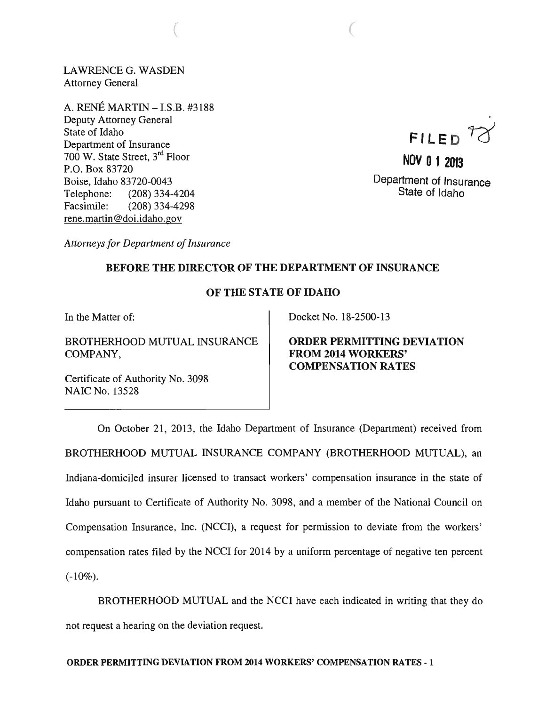LAWRENCE G. WASDEN Attorney General

 $\big($ 

A. RENE MARTIN -I.S.B. #3188 Deputy Attorney General State of Idaho Department of Insurance 700 W. State Street, 3rd Floor P.O. Box 83720 Boise, Idaho 83720-0043 Telephone: (208) 334-4204 Facsimile: (208) 334-4298 rene.martin@doi.idaho.gov

 $FILED$ <sup>12</sup>

**NOV 0 1 2013**  Department of Insurance State of Idaho

*Attorneys for Department of Insurance* 

## BEFORE THE DIRECTOR OF THE DEPARTMENT OF INSURANCE

## OF THE STATE OF IDAHO

In the Matter of:

BROTHERHOOD MUTUAL INSURANCE COMPANY,

Certificate of Authority No. 3098 NAIC No. 13528

Docket No. 18-2500-13

ORDER PERMITTING DEVIATION FROM 2014 WORKERS' COMPENSATION RATES

On October 21, 2013, the Idaho Department of Insurance (Department) received from BROTHERHOOD MUTUAL INSURANCE COMPANY (BROTHERHOOD MUTUAL), an Indiana-domiciled insurer licensed to transact workers' compensation insurance in the state of Idaho pursuant to Certificate of Authority No. 3098, and a member of the National Council on Compensation Insurance, Inc. (NCCI), a request for permission to deviate from the workers' compensation rates filed by the NCCI for 2014 by a uniform percentage of negative ten percent  $(-10\%).$ 

BROTHERHOOD MUTUAL and the NCCI have each indicated in writing that they do not request a hearing on the deviation request.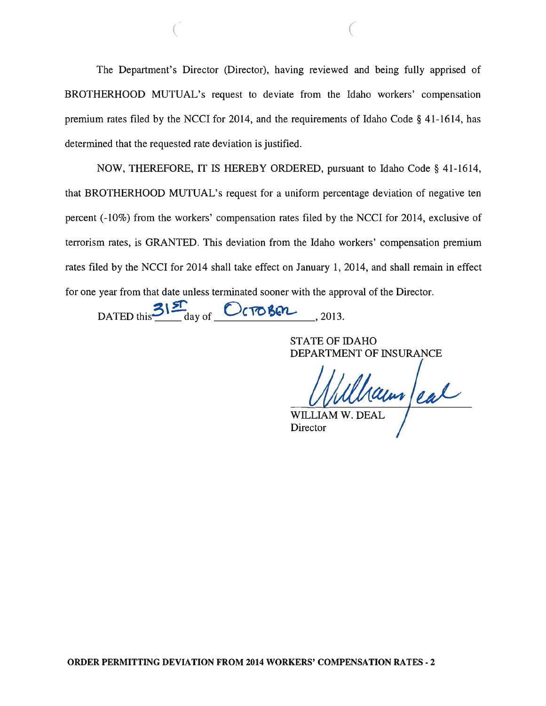The Department's Director (Director), having reviewed and being fully apprised of BROTHERHOOD MUTUAL's request to deviate from the Idaho workers' compensation premium rates filed by the NCCI for 2014, and the requirements of Idaho Code § 41-1614, has determined that the requested rate deviation is justified.

 $($ 

NOW, THEREFORE, IT IS HEREBY ORDERED, pursuant to Idaho Code § 41-1614, that BROTHERHOOD MUTUAL's request for a uniform percentage deviation of negative ten percent (-10%) from the workers' compensation rates filed by the NCCI for 2014, exclusive of terrorism rates, is GRANTED. This deviation from the Idaho workers' compensation premium rates filed by the NCCI for 2014 shall take effect on January 1, 2014, and shall remain in effect for one year from that date unless terminated sooner with the approval of the Director.

DATED this  $3\frac{s}{a}$  of October , 2013.

STATE OF IDAHO DEPARTMENT OF INSURANCE

WILLIAM W. DEAL

**Director**